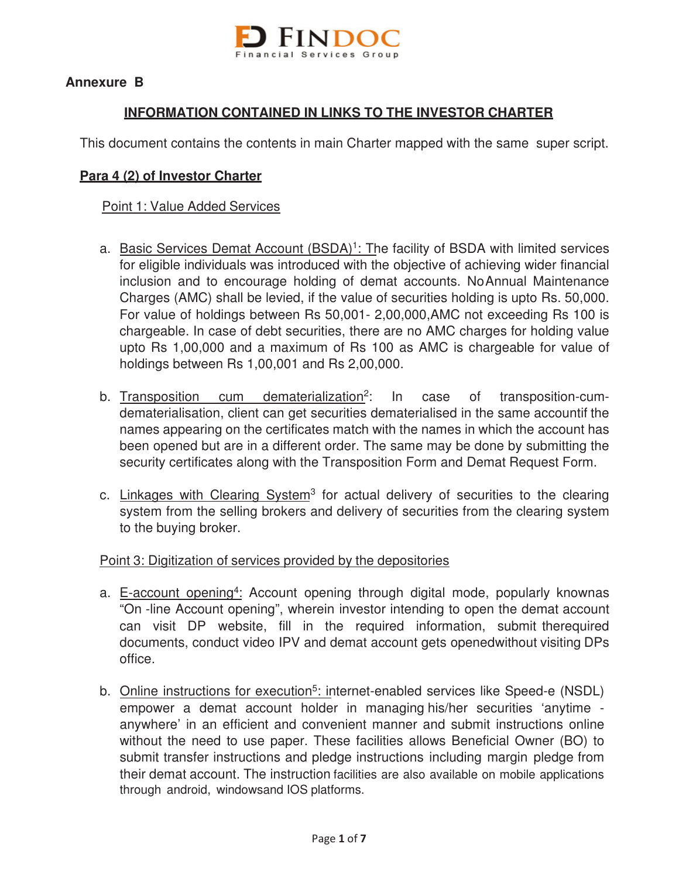

## **Annexure B**

## **INFORMATION CONTAINED IN LINKS TO THE INVESTOR CHARTER**

This document contains the contents in main Charter mapped with the same super script.

### **Para 4 (2) of Investor Charter**

### Point 1: Value Added Services

- a. Basic Services Demat Account (BSDA)<sup>1</sup>: The facility of BSDA with limited services for eligible individuals was introduced with the objective of achieving wider financial inclusion and to encourage holding of demat accounts. No Annual Maintenance Charges (AMC) shall be levied, if the value of securities holding is upto Rs. 50,000. For value of holdings between Rs 50,001- 2,00,000, AMC not exceeding Rs 100 is chargeable. In case of debt securities, there are no AMC charges for holding value upto Rs 1,00,000 and a maximum of Rs 100 as AMC is chargeable for value of holdings between Rs 1,00,001 and Rs 2,00,000.
- b. Transposition cum dematerialization<sup>2</sup>: In case of transposition-cumdematerialisation, client can get securities dematerialised in the same accountif the names appearing on the certificates match with the names in which the account has been opened but are in a different order. The same may be done by submitting the security certificates along with the Transposition Form and Demat Request Form.
- c. Linkages with Clearing System<sup>3</sup> for actual delivery of securities to the clearing system from the selling brokers and delivery of securities from the clearing system to the buying broker.

#### Point 3: Digitization of services provided by the depositories

- a. E-account opening<sup>4</sup>: Account opening through digital mode, popularly knownas "On -line Account opening", wherein investor intending to open the demat account can visit DP website, fill in the required information, submit the required documents, conduct video IPV and demat account gets opened without visiting DPs office.
- b. Online instructions for execution<sup>5</sup>: internet-enabled services like Speed-e (NSDL) empower a demat account holder in managing his/her securities 'anytime anywhere' in an efficient and convenient manner and submit instructions online without the need to use paper. These facilities allows Beneficial Owner (BO) to submit transfer instructions and pledge instructions including margin pledge from their demat account. The instruction facilities are also available on mobile applications through android, windows and IOS platforms.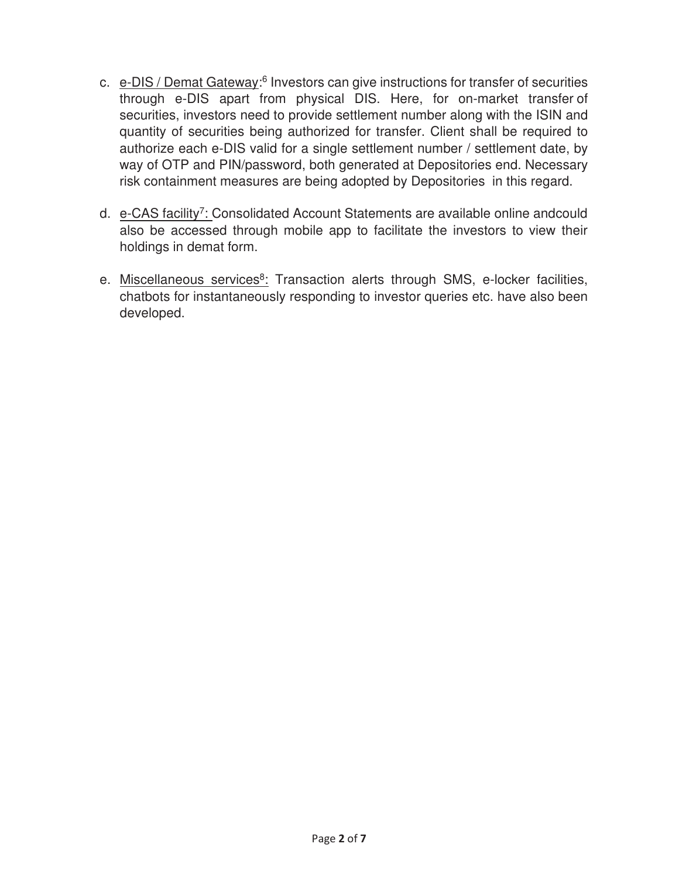- c. e-DIS / Demat Gateway:<sup>6</sup> Investors can give instructions for transfer of securities through e-DIS apart from physical DIS. Here, for on-market transfer of securities, investors need to provide settlement number along with the ISIN and quantity of securities being authorized for transfer. Client shall be required to authorize each e-DIS valid for a single settlement number / settlement date, by way of OTP and PIN/password, both generated at Depositories end. Necessary risk containment measures are being adopted by Depositories in this regard.
- d. e-CAS facility<sup>7</sup>: Consolidated Account Statements are available online and could also be accessed through mobile app to facilitate the investors to view their holdings in demat form.
- e. Miscellaneous services<sup>8</sup>: Transaction alerts through SMS, e-locker facilities, chatbots for instantaneously responding to investor queries etc. have also been developed.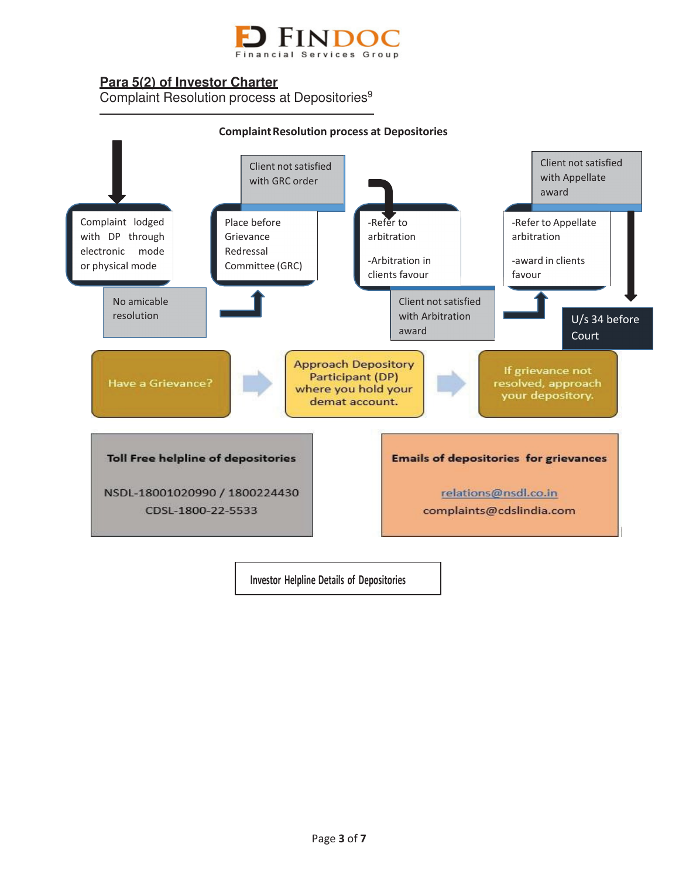

# **Para 5(2) of Investor Charter**

Complaint Resolution process at Depositories<sup>9</sup>



**Investor Helpline Details of Depositories**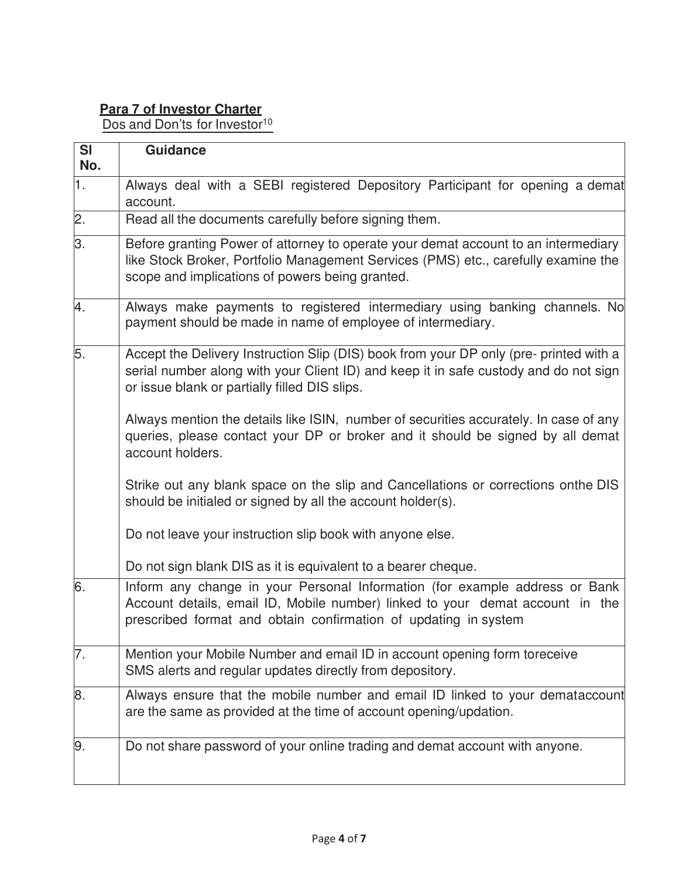# **Para 7 of Investor Charter**

Dos and Don'ts for Investor<sup>10</sup>

| <b>SI</b><br>No. | <b>Guidance</b>                                                                                                                                                                                                                                                                                                                                                                                                                                                                                                                                                                    |
|------------------|------------------------------------------------------------------------------------------------------------------------------------------------------------------------------------------------------------------------------------------------------------------------------------------------------------------------------------------------------------------------------------------------------------------------------------------------------------------------------------------------------------------------------------------------------------------------------------|
| 1.               | Always deal with a SEBI registered Depository Participant for opening a demat<br>account.                                                                                                                                                                                                                                                                                                                                                                                                                                                                                          |
| 2.               | Read all the documents carefully before signing them.                                                                                                                                                                                                                                                                                                                                                                                                                                                                                                                              |
| З.               | Before granting Power of attorney to operate your demat account to an intermediary<br>like Stock Broker, Portfolio Management Services (PMS) etc., carefully examine the<br>scope and implications of powers being granted.                                                                                                                                                                                                                                                                                                                                                        |
| 4.               | Always make payments to registered intermediary using banking channels. No<br>payment should be made in name of employee of intermediary.                                                                                                                                                                                                                                                                                                                                                                                                                                          |
| 5.               | Accept the Delivery Instruction Slip (DIS) book from your DP only (pre- printed with a<br>serial number along with your Client ID) and keep it in safe custody and do not sign<br>or issue blank or partially filled DIS slips.<br>Always mention the details like ISIN, number of securities accurately. In case of any<br>queries, please contact your DP or broker and it should be signed by all demat<br>account holders.<br>Strike out any blank space on the slip and Cancellations or corrections onthe DIS<br>should be initialed or signed by all the account holder(s). |
|                  | Do not leave your instruction slip book with anyone else.<br>Do not sign blank DIS as it is equivalent to a bearer cheque.                                                                                                                                                                                                                                                                                                                                                                                                                                                         |
| 6.               | Inform any change in your Personal Information (for example address or Bank<br>Account details, email ID, Mobile number) linked to your demat account in the<br>prescribed format and obtain confirmation of updating in system                                                                                                                                                                                                                                                                                                                                                    |
| 7.               | Mention your Mobile Number and email ID in account opening form toreceive<br>SMS alerts and regular updates directly from depository.                                                                                                                                                                                                                                                                                                                                                                                                                                              |
| 8.               | Always ensure that the mobile number and email ID linked to your demataccount<br>are the same as provided at the time of account opening/updation.                                                                                                                                                                                                                                                                                                                                                                                                                                 |
| 9.               | Do not share password of your online trading and demat account with anyone.                                                                                                                                                                                                                                                                                                                                                                                                                                                                                                        |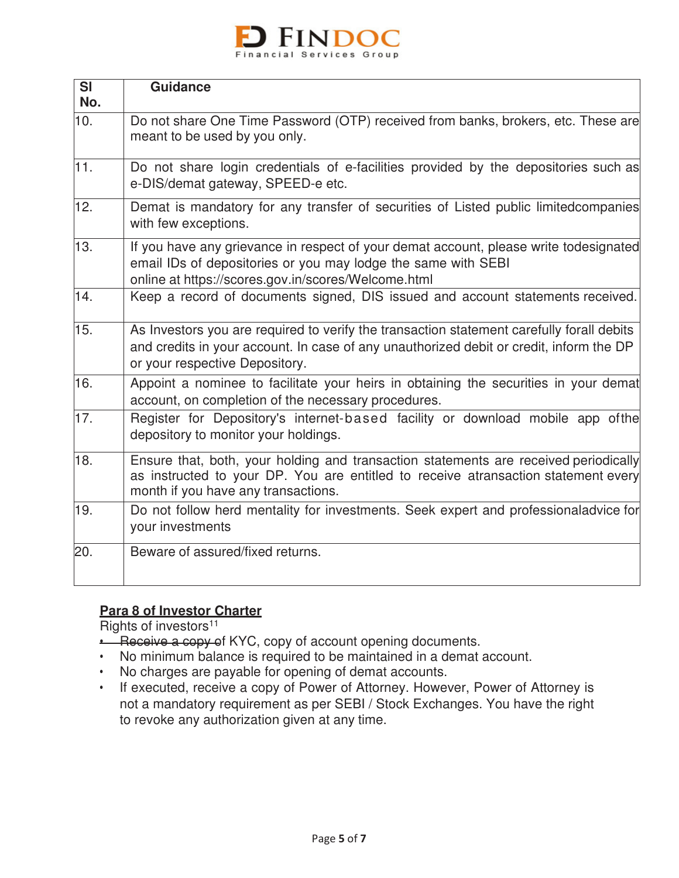

| <b>SI</b> | <b>Guidance</b>                                                                                                                                                                                                        |
|-----------|------------------------------------------------------------------------------------------------------------------------------------------------------------------------------------------------------------------------|
| No.       |                                                                                                                                                                                                                        |
| 10.       | Do not share One Time Password (OTP) received from banks, brokers, etc. These are<br>meant to be used by you only.                                                                                                     |
| 11.       | Do not share login credentials of e-facilities provided by the depositories such as<br>e-DIS/demat gateway, SPEED-e etc.                                                                                               |
| 12.       | Demat is mandatory for any transfer of securities of Listed public limitedcompanies<br>with few exceptions.                                                                                                            |
| 13.       | If you have any grievance in respect of your demat account, please write todesignated<br>email IDs of depositories or you may lodge the same with SEBI<br>online at https://scores.gov.in/scores/Welcome.html          |
| 14.       | Keep a record of documents signed, DIS issued and account statements received.                                                                                                                                         |
| 15.       | As Investors you are required to verify the transaction statement carefully forall debits<br>and credits in your account. In case of any unauthorized debit or credit, inform the DP<br>or your respective Depository. |
| 16.       | Appoint a nominee to facilitate your heirs in obtaining the securities in your demat<br>account, on completion of the necessary procedures.                                                                            |
| 17.       | Register for Depository's internet-based facility or download mobile app of the<br>depository to monitor your holdings.                                                                                                |
| 18.       | Ensure that, both, your holding and transaction statements are received periodically<br>as instructed to your DP. You are entitled to receive atransaction statement every<br>month if you have any transactions.      |
| 19.       | Do not follow herd mentality for investments. Seek expert and professionaladvice for<br>your investments                                                                                                               |
| 20.       | Beware of assured/fixed returns.                                                                                                                                                                                       |

## **Para 8 of Investor Charter**

Rights of investors<sup>11</sup>

- **•** Receive a copy of KYC, copy of account opening documents.
- No minimum balance is required to be maintained in a demat account.
- No charges are payable for opening of demat accounts.
- If executed, receive a copy of Power of Attorney. However, Power of Attorney is not a mandatory requirement as per SEBI / Stock Exchanges. You have the right to revoke any authorization given at any time.